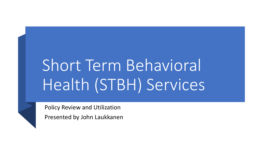# Short Term Behavioral Health (STBH) Services

Policy Review and Utilization

Presented by John Laukkanen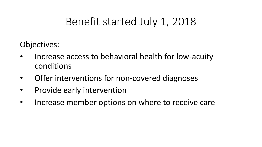### Benefit started July 1, 2018

Objectives:

- Increase access to behavioral health for low-acuity conditions
- Offer interventions for non-covered diagnoses
- Provide early intervention
- Increase member options on where to receive care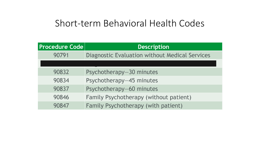#### Short-term Behavioral Health Codes

| <b>Procedure Code</b> | <b>Description</b>                                    |
|-----------------------|-------------------------------------------------------|
| 90791                 | <b>Diagnostic Evaluation without Medical Services</b> |
|                       |                                                       |
| 90832                 | Psychotherapy-30 minutes                              |
| 90834                 | Psychotherapy-45 minutes                              |
| 90837                 | Psychotherapy-60 minutes                              |
| 90846                 | Family Psychotherapy (without patient)                |
| 90847                 | Family Psychotherapy (with patient)                   |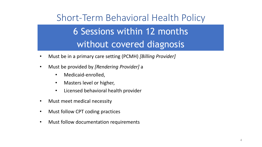## Short-Term Behavioral Health Policy 6 Sessions within 12 months without covered diagnosis

- Must be in a primary care setting (PCMH) *[Billing Provider]*
- Must be provided by *[Rendering Provider]* a
	- Medicaid-enrolled,
	- Masters level or higher,
	- Licensed behavioral health provider
- Must meet medical necessity
- Must follow CPT coding practices
- Must follow documentation requirements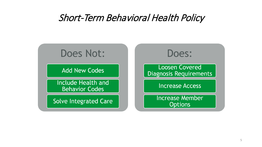#### Short-Term Behavioral Health Policy

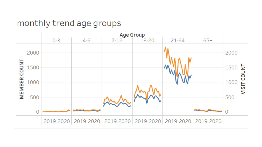#### monthly trend age groups

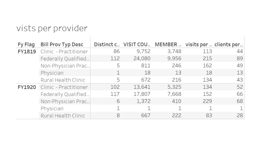#### vists per provider

| Fy Flag | <b>Bill Prov Typ Desc</b> |     |        |       |     | Distinct c VISIT COU MEMBER visits per  clients per |
|---------|---------------------------|-----|--------|-------|-----|-----------------------------------------------------|
| FY1819  | Clinic - Practitioner     | 86  | 9,752  | 3,748 | 113 | 44                                                  |
|         | Federally Qualified       | 112 | 24,080 | 9,956 | 215 | 89                                                  |
|         | Non-Physician Prac        | 5   | 811    | 246   | 162 | 49                                                  |
|         | Physician                 | 1   | 18     | 13    | 18  | 13                                                  |
|         | Rural Health Clinic       | 5   | 672    | 216   | 134 | 43                                                  |
| FY1920  | Clinic - Practitioner     | 102 | 13,641 | 5,325 | 134 | 52                                                  |
|         | Federally Qualified       | 117 | 17,807 | 7,668 | 152 | 66                                                  |
|         | Non-Physician Prac        | 6   | 1,372  | 410   | 229 | 68                                                  |
|         | Physician                 |     |        |       |     | 1 <sup>1</sup>                                      |
|         | Rural Health Clinic       | 8   | 667    | 222   | 83  | 28                                                  |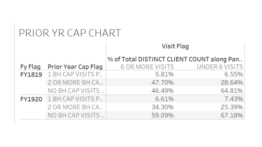### PRIOR YR CAP CHART

|  |                                 | <b>Visit Flag</b>                          |                |  |
|--|---------------------------------|--------------------------------------------|----------------|--|
|  |                                 | % of Total DISTINCT CLIENT COUNT along Pan |                |  |
|  | Fy Flag Prior Year Cap Flag     | 6 OR MORE VISITS                           | UNDER 6 VISITS |  |
|  | <b>FY1819</b> 1 BH CAP VISITS P | 5.81%                                      | 6.55%          |  |
|  | 2 OR MORE BH CA                 | 47.70%                                     | 28.64%         |  |
|  | NO BH CAP VISITS                | 46.49%                                     | 64.81%         |  |
|  | <b>FY1920</b> 1 BH CAP VISITS P | 6.61%                                      | 7.43%          |  |
|  | 2 OR MORE BH CA                 | 34.30%                                     | 25.39%         |  |
|  | NO BH CAP VISITS                | 59.09%                                     | 67.18%         |  |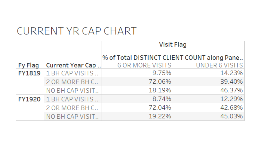#### **CURRENT YR CAP CHART**

|  |                               | <b>Visit Flag</b>                           |                       |  |
|--|-------------------------------|---------------------------------------------|-----------------------|--|
|  |                               | % of Total DISTINCT CLIENT COUNT along Pane |                       |  |
|  | Fy Flag Current Year Cap      | 6 OR MORE VISITS                            | <b>UNDER 6 VISITS</b> |  |
|  | FY1819 1 BH CAP VISITS        | 9.75%                                       | 14.23%                |  |
|  | 2 OR MORE BH C                | 72.06%                                      | 39.40%                |  |
|  | NO BH CAP VISIT               | 18.19%                                      | 46.37%                |  |
|  | <b>FY1920</b> 1 BH CAP VISITS | 8.74%                                       | 12.29%                |  |
|  | 2 OR MORE BH C                | 72.04%                                      | 42.68%                |  |
|  | NO BH CAP VISIT               | 19.22%                                      | 45.03%                |  |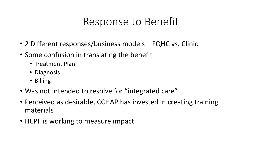### Response to Benefit

- 2 Different responses/business models FQHC vs. Clinic
- Some confusion in translating the benefit
	- Treatment Plan
	- Diagnosis
	- Billing
- Was not intended to resolve for "integrated care"
- Perceived as desirable, CCHAP has invested in creating training materials
- HCPF is working to measure impact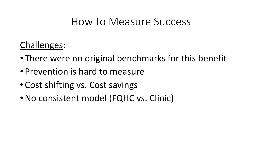#### How to Measure Success

Challenges:

- There were no original benchmarks for this benefit
- Prevention is hard to measure
- Cost shifting vs. Cost savings
- •No consistent model (FQHC vs. Clinic)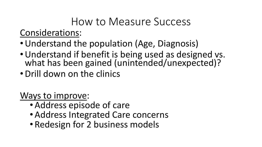#### How to Measure Success Considerations:

- •Understand the population (Age, Diagnosis)
- •Understand if benefit is being used as designed vs. what has been gained (unintended/unexpected)?
- •Drill down on the clinics

Ways to improve:

- Address episode of care
- Address Integrated Care concerns
- Redesign for 2 business models